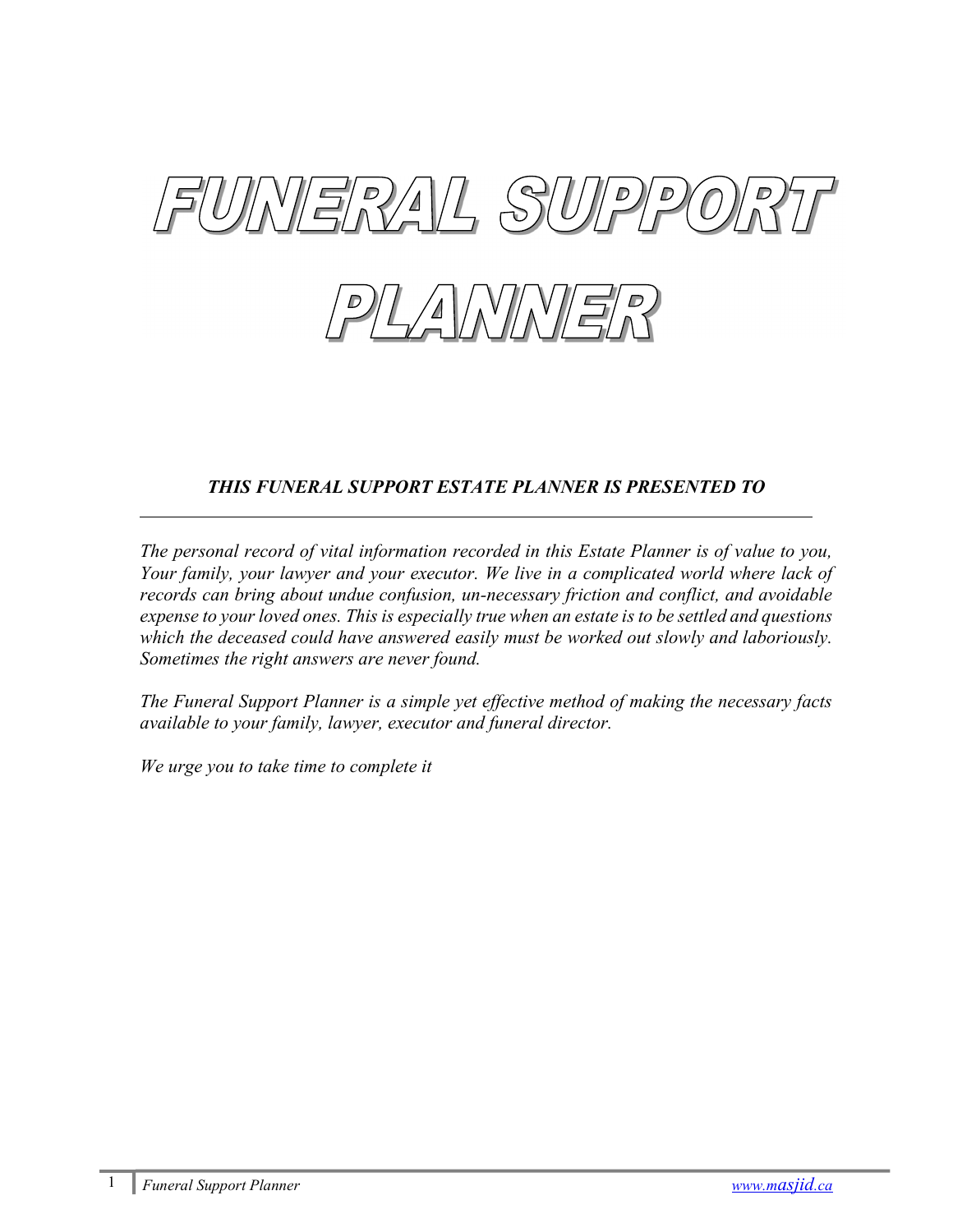



# THIS FUNERAL SUPPORT ESTATE PLANNER IS PRESENTED TO

The personal record of vital information recorded in this Estate Planner is of value to you, Your family, your lawyer and your executor. We live in a complicated world where lack of records can bring about undue confusion, un-necessary friction and conflict, and avoidable expense to your loved ones. This is especially true when an estate is to be settled and questions which the deceased could have answered easily must be worked out slowly and laboriously. Sometimes the right answers are never found.

The Funeral Support Planner is a simple yet effective method of making the necessary facts available to your family, lawyer, executor and funeral director.

We urge you to take time to complete it

l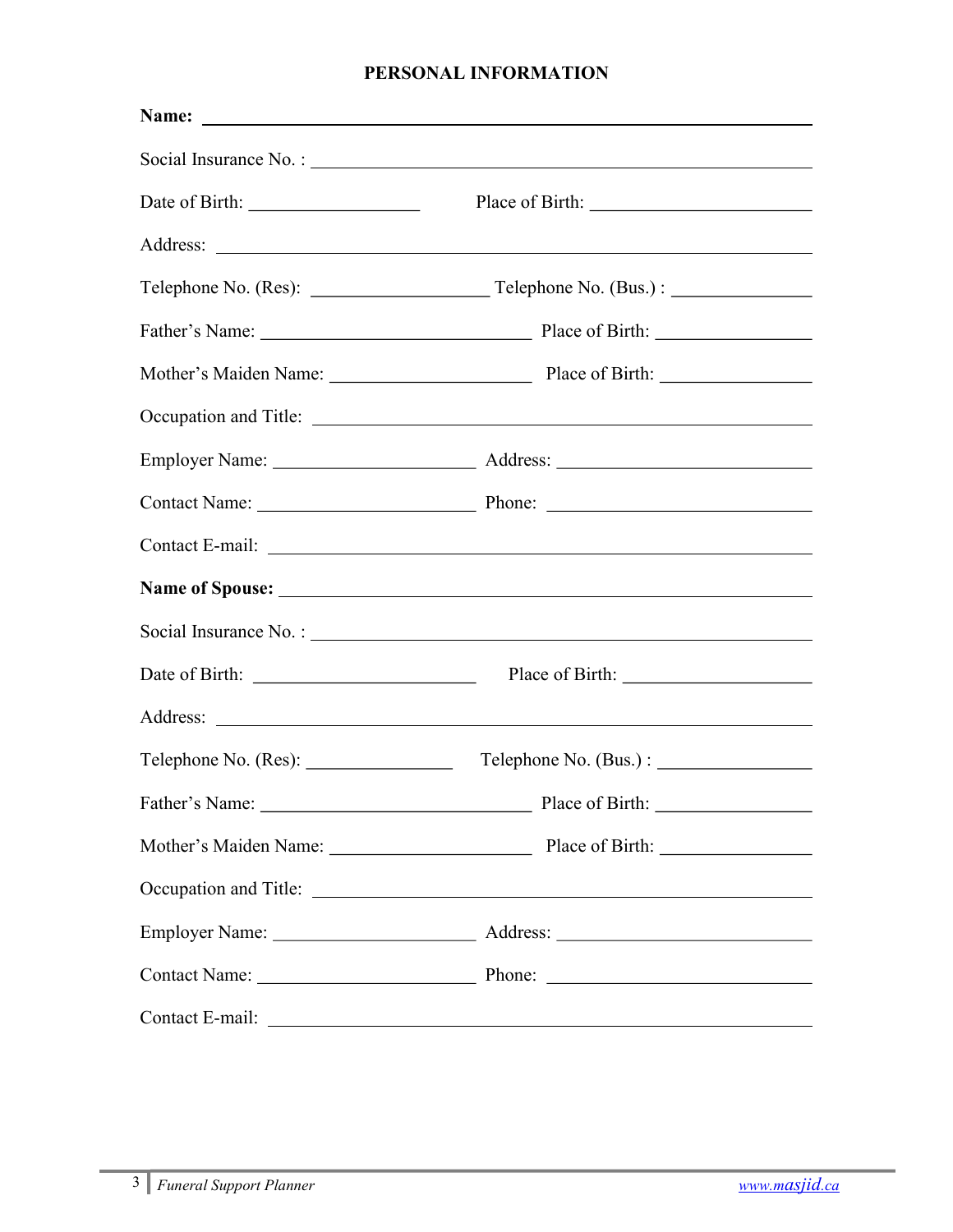# PERSONAL INFORMATION

| $\text{Telephone No. (Bus.)}:$ |
|--------------------------------|
|                                |
|                                |
|                                |
|                                |
|                                |
|                                |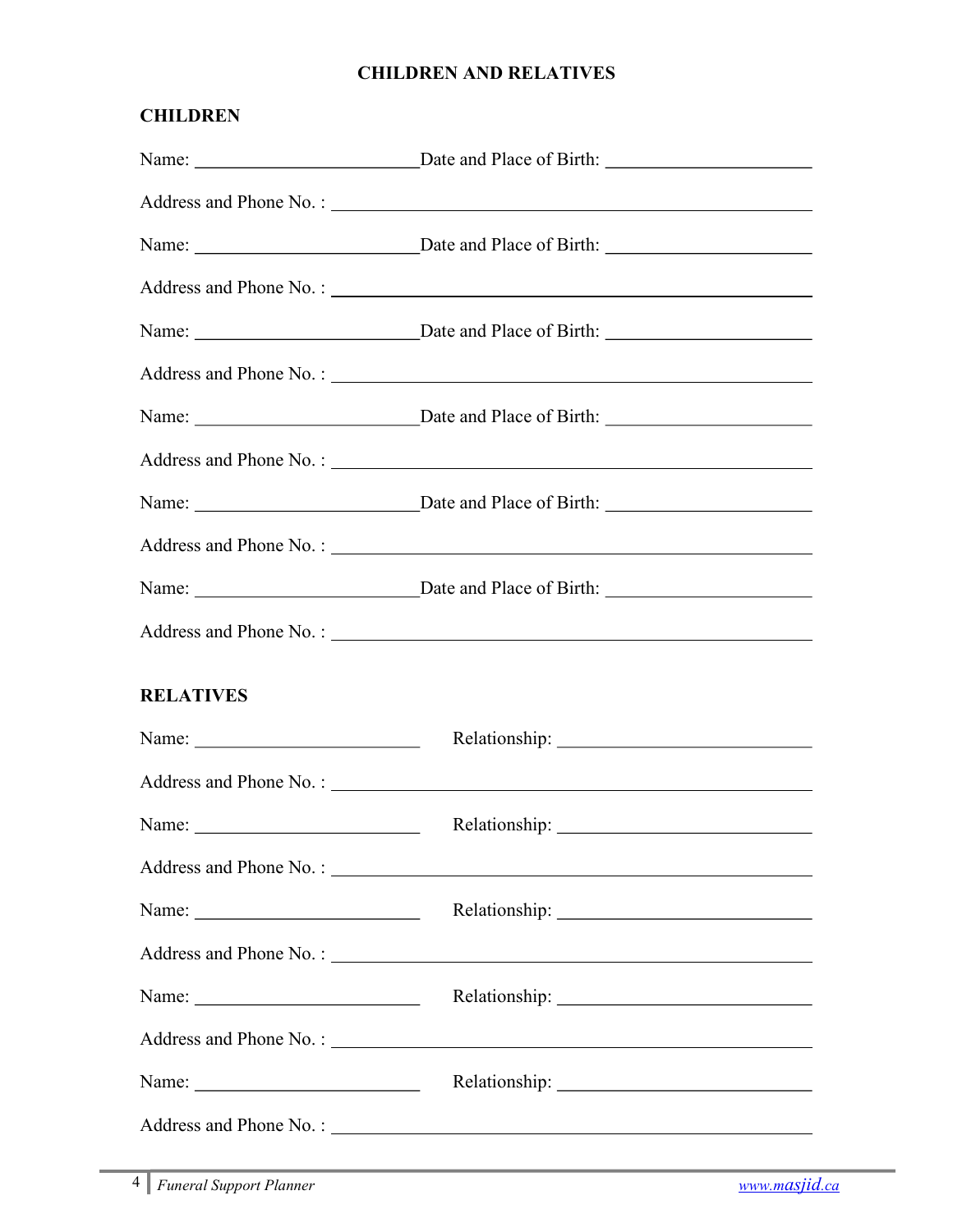# CHILDREN AND RELATIVES

| <b>CHILDREN</b>                                                                                                                                                                                                                                                                                                                                                                                |                                                           |
|------------------------------------------------------------------------------------------------------------------------------------------------------------------------------------------------------------------------------------------------------------------------------------------------------------------------------------------------------------------------------------------------|-----------------------------------------------------------|
|                                                                                                                                                                                                                                                                                                                                                                                                |                                                           |
|                                                                                                                                                                                                                                                                                                                                                                                                | Address and Phone No.:                                    |
|                                                                                                                                                                                                                                                                                                                                                                                                |                                                           |
|                                                                                                                                                                                                                                                                                                                                                                                                | Address and Phone No. :                                   |
|                                                                                                                                                                                                                                                                                                                                                                                                |                                                           |
|                                                                                                                                                                                                                                                                                                                                                                                                | Address and Phone No.:                                    |
|                                                                                                                                                                                                                                                                                                                                                                                                |                                                           |
|                                                                                                                                                                                                                                                                                                                                                                                                | Address and Phone No.:                                    |
|                                                                                                                                                                                                                                                                                                                                                                                                |                                                           |
|                                                                                                                                                                                                                                                                                                                                                                                                | Address and Phone No.: 2008.                              |
|                                                                                                                                                                                                                                                                                                                                                                                                |                                                           |
|                                                                                                                                                                                                                                                                                                                                                                                                | Address and Phone No.:                                    |
| <b>RELATIVES</b>                                                                                                                                                                                                                                                                                                                                                                               |                                                           |
| Name: $\frac{1}{\sqrt{1-\frac{1}{2}}}\left\{ \frac{1}{2} + \frac{1}{2} \frac{1}{2} + \frac{1}{2} \frac{1}{2} + \frac{1}{2} \frac{1}{2} + \frac{1}{2} \frac{1}{2} + \frac{1}{2} \frac{1}{2} + \frac{1}{2} \frac{1}{2} + \frac{1}{2} \frac{1}{2} + \frac{1}{2} \frac{1}{2} + \frac{1}{2} \frac{1}{2} + \frac{1}{2} \frac{1}{2} + \frac{1}{2} \frac{1}{2} + \frac{1}{2} \frac{1}{2} + \frac{1}{2$ |                                                           |
|                                                                                                                                                                                                                                                                                                                                                                                                | Address and Phone No.:                                    |
| Name: $\frac{1}{\sqrt{1-\frac{1}{2}} \cdot \frac{1}{2}}$                                                                                                                                                                                                                                                                                                                                       |                                                           |
|                                                                                                                                                                                                                                                                                                                                                                                                | Address and Phone No.:                                    |
| Name: $\frac{1}{\sqrt{1-\frac{1}{2}} \cdot \frac{1}{2}}$                                                                                                                                                                                                                                                                                                                                       |                                                           |
|                                                                                                                                                                                                                                                                                                                                                                                                | Address and Phone No. :                                   |
|                                                                                                                                                                                                                                                                                                                                                                                                |                                                           |
|                                                                                                                                                                                                                                                                                                                                                                                                | Address and Phone No.: 2008. Address and Phone No.: 2008. |
|                                                                                                                                                                                                                                                                                                                                                                                                |                                                           |
|                                                                                                                                                                                                                                                                                                                                                                                                | Address and Phone No.:                                    |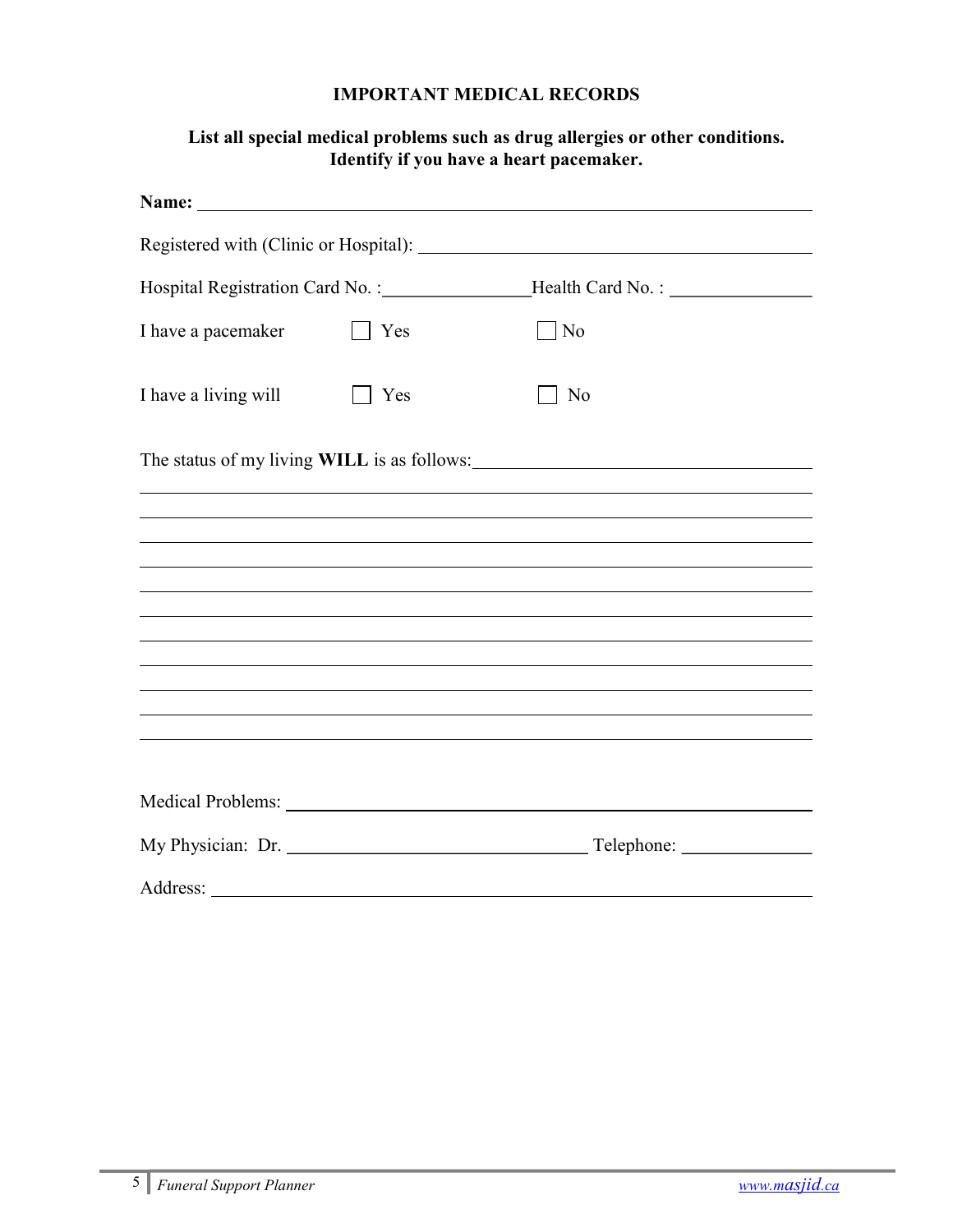## IMPORTANT MEDICAL RECORDS

# List all special medical problems such as drug allergies or other conditions. Identify if you have a heart pacemaker.

|                      |     | Registered with (Clinic or Hospital): No. 1996. The Second Second Second Second Second Second Second Second Second Second Second Second Second Second Second Second Second Second Second Second Second Second Second Second Se |
|----------------------|-----|--------------------------------------------------------------------------------------------------------------------------------------------------------------------------------------------------------------------------------|
|                      |     |                                                                                                                                                                                                                                |
| I have a pacemaker   | Yes | No                                                                                                                                                                                                                             |
| I have a living will | Yes | No                                                                                                                                                                                                                             |
|                      |     |                                                                                                                                                                                                                                |
|                      |     |                                                                                                                                                                                                                                |
|                      |     | ,我们也不会有什么。""我们的人,我们也不会有什么?""我们的人,我们也不会有什么?""我们的人,我们也不会有什么?""我们的人,我们也不会有什么?""我们的人                                                                                                                                               |
|                      |     |                                                                                                                                                                                                                                |
|                      |     |                                                                                                                                                                                                                                |
|                      |     |                                                                                                                                                                                                                                |
|                      |     |                                                                                                                                                                                                                                |
|                      |     |                                                                                                                                                                                                                                |
|                      |     |                                                                                                                                                                                                                                |
|                      |     |                                                                                                                                                                                                                                |
| My Physician: Dr.    |     |                                                                                                                                                                                                                                |
| Address:             |     |                                                                                                                                                                                                                                |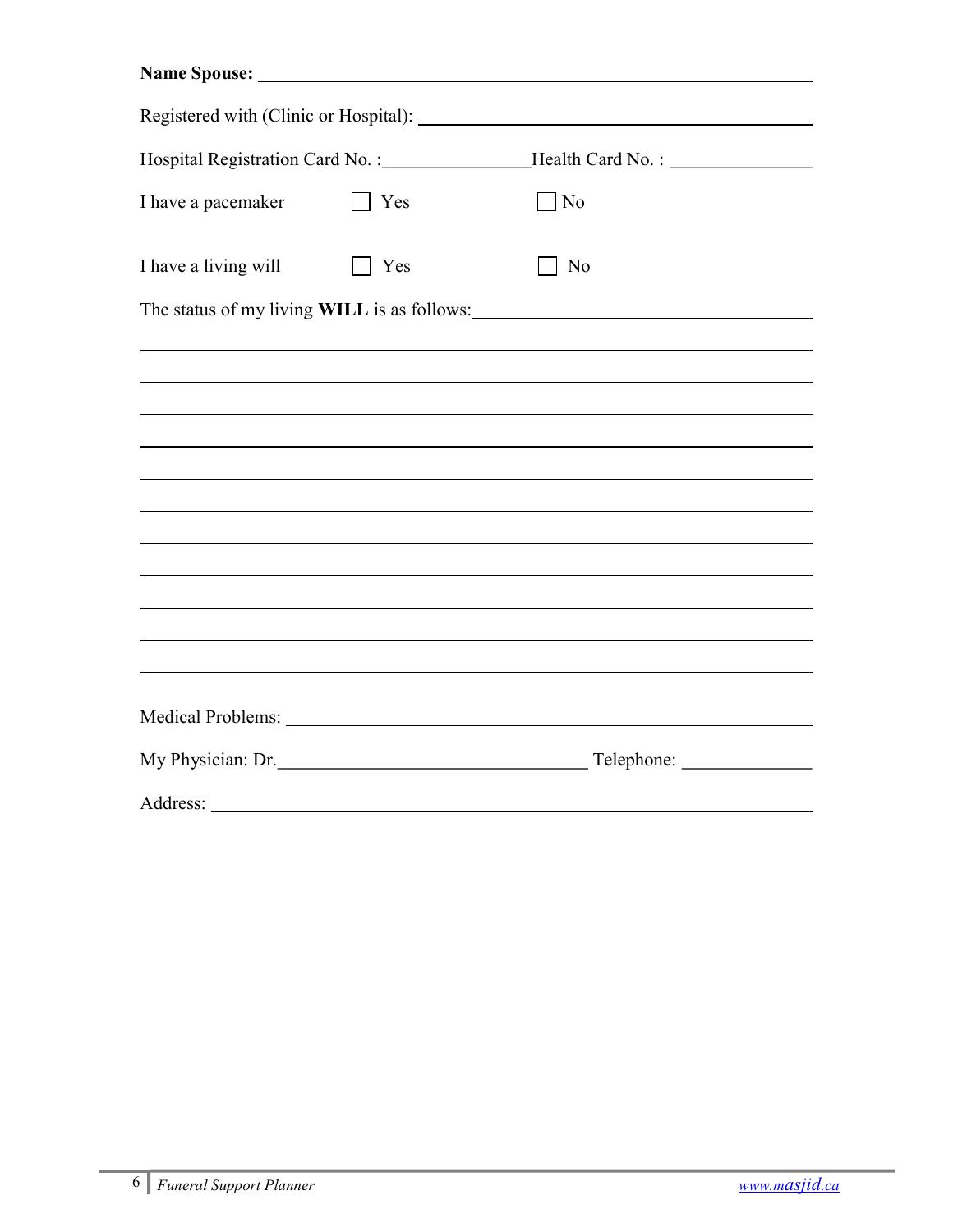| Name Spouse: <u>and the Spouse of the Spouse of the Spouse of the Spouse of the Spouse of the Spouse of the Spouse of the Spouse of the Spouse of the Spouse of the Spouse of the Spouse of the Spouse of the Spouse of the Spou</u> |     |                                                                                   |
|--------------------------------------------------------------------------------------------------------------------------------------------------------------------------------------------------------------------------------------|-----|-----------------------------------------------------------------------------------|
|                                                                                                                                                                                                                                      |     |                                                                                   |
|                                                                                                                                                                                                                                      |     | Hospital Registration Card No. : __________________Health Card No. : ____________ |
| I have a pacemaker                                                                                                                                                                                                                   | Yes | $\vert$ No                                                                        |
| I have a living will                                                                                                                                                                                                                 | Yes | N <sub>o</sub>                                                                    |
|                                                                                                                                                                                                                                      |     |                                                                                   |
|                                                                                                                                                                                                                                      |     |                                                                                   |
|                                                                                                                                                                                                                                      |     |                                                                                   |
|                                                                                                                                                                                                                                      |     |                                                                                   |
|                                                                                                                                                                                                                                      |     |                                                                                   |
|                                                                                                                                                                                                                                      |     |                                                                                   |
|                                                                                                                                                                                                                                      |     |                                                                                   |
|                                                                                                                                                                                                                                      |     |                                                                                   |
|                                                                                                                                                                                                                                      |     |                                                                                   |
|                                                                                                                                                                                                                                      |     |                                                                                   |
|                                                                                                                                                                                                                                      |     |                                                                                   |
| My Physician: Dr.                                                                                                                                                                                                                    |     |                                                                                   |
|                                                                                                                                                                                                                                      |     |                                                                                   |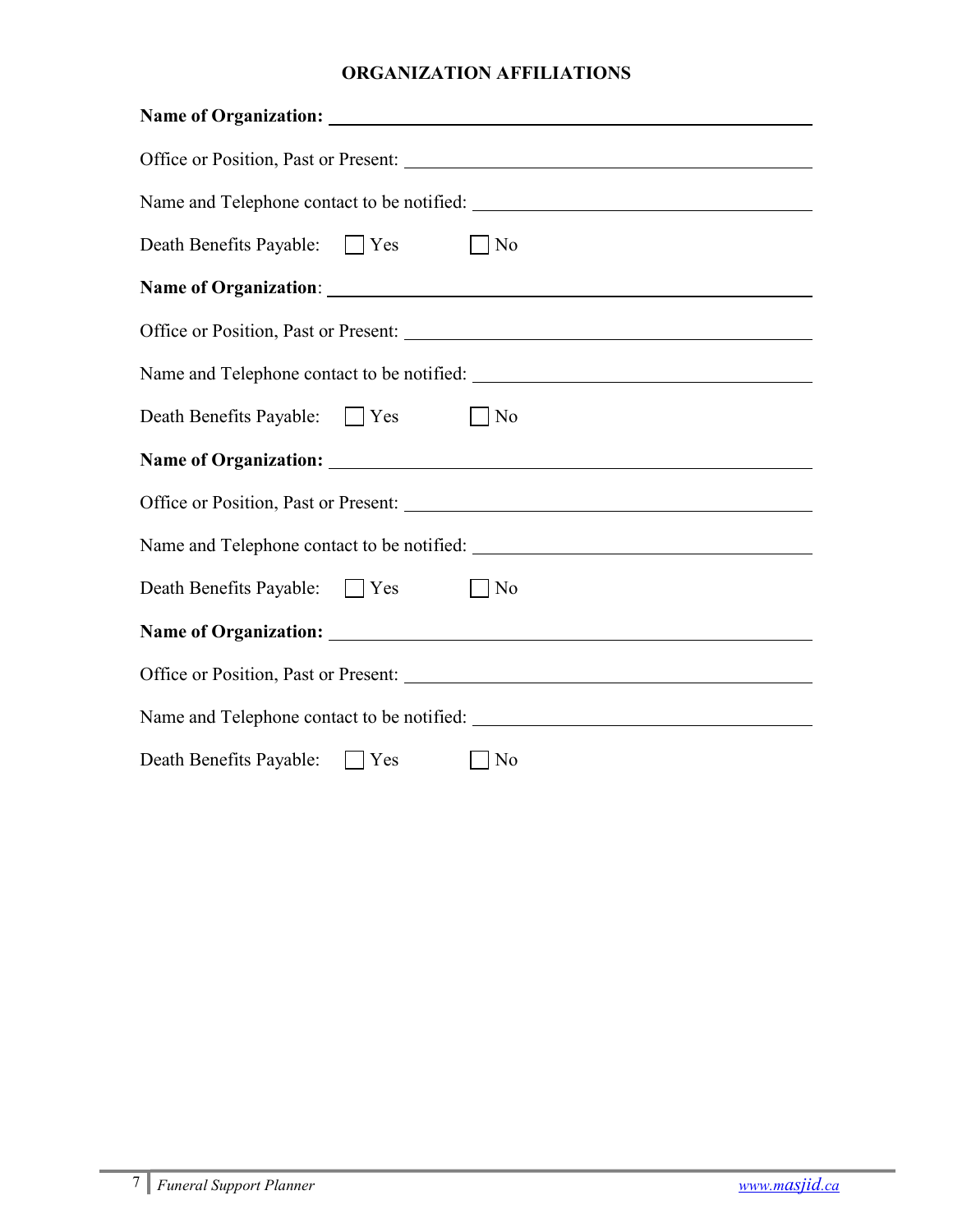# ORGANIZATION AFFILIATIONS

| Death Benefits Payable: Nes   | $\vert$   No                                      |
|-------------------------------|---------------------------------------------------|
|                               |                                                   |
|                               |                                                   |
|                               |                                                   |
| Death Benefits Payable: Yes   | $\vert$   No                                      |
|                               | Name of Organization: Name of Organization:       |
|                               |                                                   |
|                               |                                                   |
| Death Benefits Payable: Yes   | $\vert$   No                                      |
|                               | Name of Organization: <u>Name of Organization</u> |
|                               |                                                   |
|                               |                                                   |
| Death Benefits Payable: U Yes | No                                                |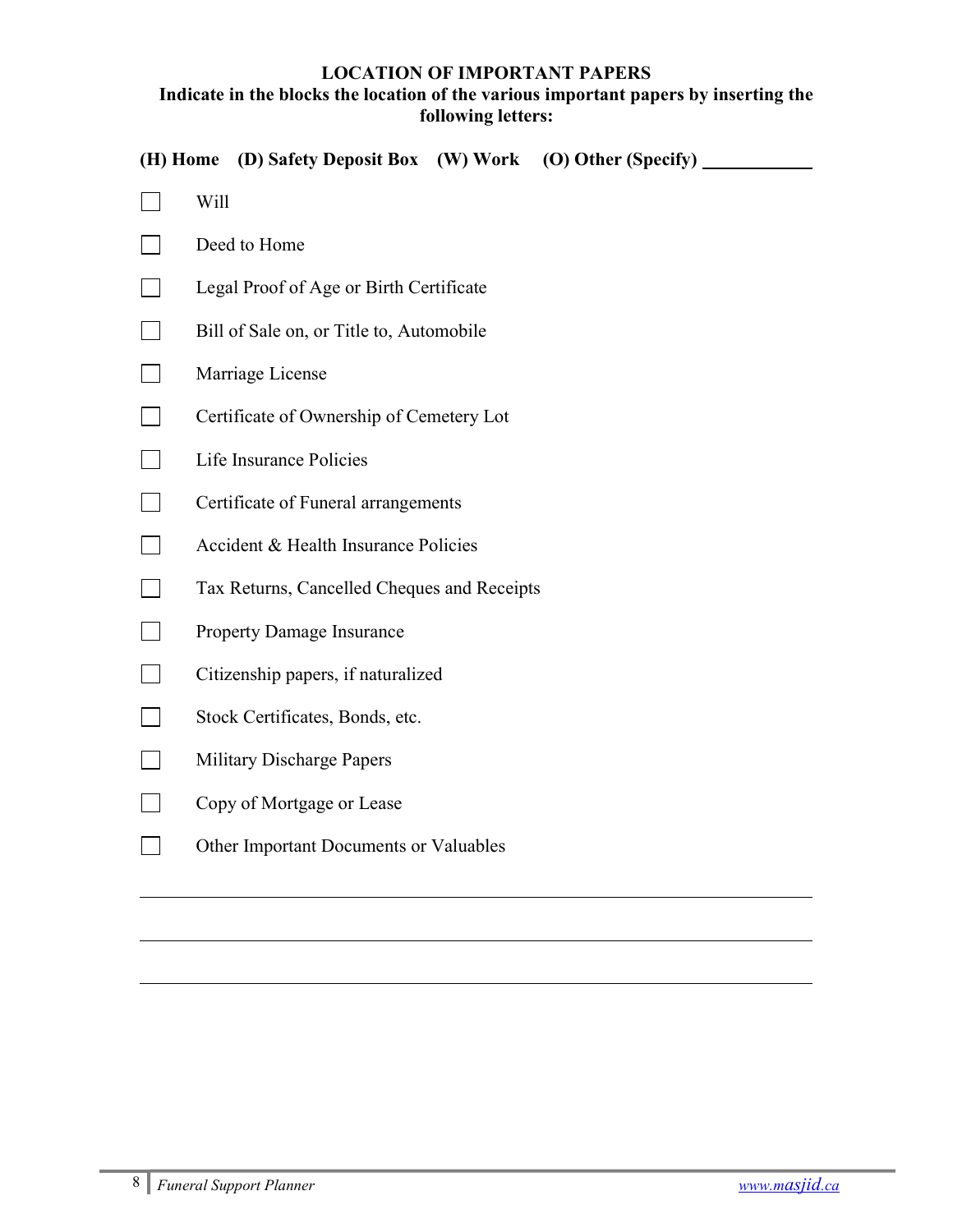#### LOCATION OF IMPORTANT PAPERS Indicate in the blocks the location of the various important papers by inserting the following letters:

(H) Home (D) Safety Deposit Box (W) Work (O) Other (Specify)

- $\Box$  Will
- Deed to Home
- Legal Proof of Age or Birth Certificate
- Bill of Sale on, or Title to, Automobile
- **Marriage License**
- □ Certificate of Ownership of Cemetery Lot
- Life Insurance Policies
- **Certificate of Funeral arrangements**
- $\Box$  Accident & Health Insurance Policies
- Tax Returns, Cancelled Cheques and Receipts
- **Property Damage Insurance**
- $\Box$  Citizenship papers, if naturalized
- Stock Certificates, Bonds, etc.
- **Military Discharge Papers**
- **Copy of Mortgage or Lease**
- Other Important Documents or Valuables

 $\overline{\phantom{a}}$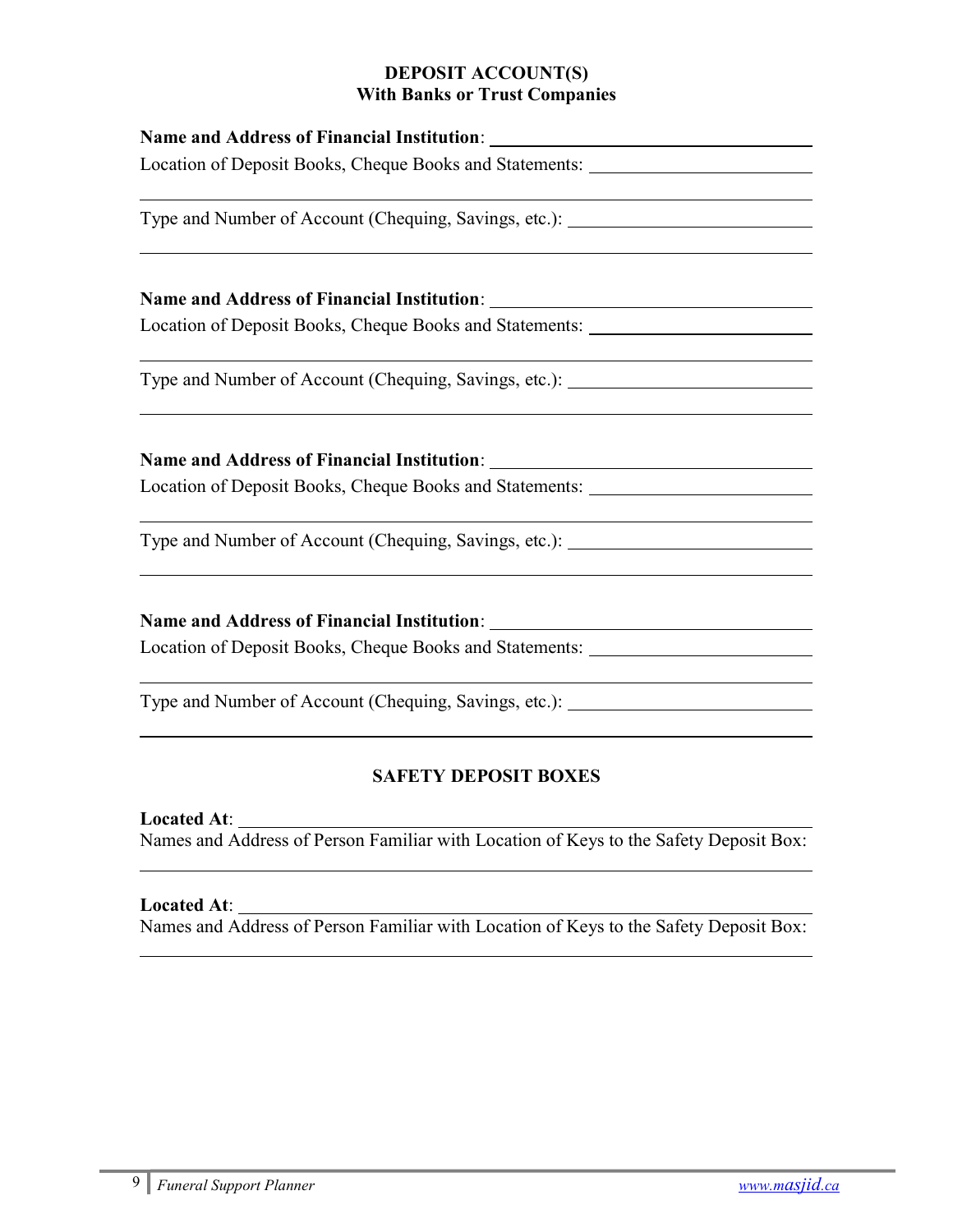## DEPOSIT ACCOUNT(S) With Banks or Trust Companies

| Location of Deposit Books, Cheque Books and Statements: Matematical Analysis Andrews Matematical Analysis Analysis |
|--------------------------------------------------------------------------------------------------------------------|
| Type and Number of Account (Chequing, Savings, etc.): __________________________                                   |
|                                                                                                                    |
| Location of Deposit Books, Cheque Books and Statements: Matematical Accords 2014                                   |
| Type and Number of Account (Chequing, Savings, etc.): __________________________                                   |
|                                                                                                                    |
| Location of Deposit Books, Cheque Books and Statements: ________________________                                   |
| Type and Number of Account (Chequing, Savings, etc.): __________________________                                   |
|                                                                                                                    |
| Location of Deposit Books, Cheque Books and Statements: ________________________                                   |
| Type and Number of Account (Chequing, Savings, etc.): __________________________                                   |

# SAFETY DEPOSIT BOXES

Located At:

Names and Address of Person Familiar with Location of Keys to the Safety Deposit Box: l

# Located At:

 $\overline{\phantom{a}}$ 

Names and Address of Person Familiar with Location of Keys to the Safety Deposit Box: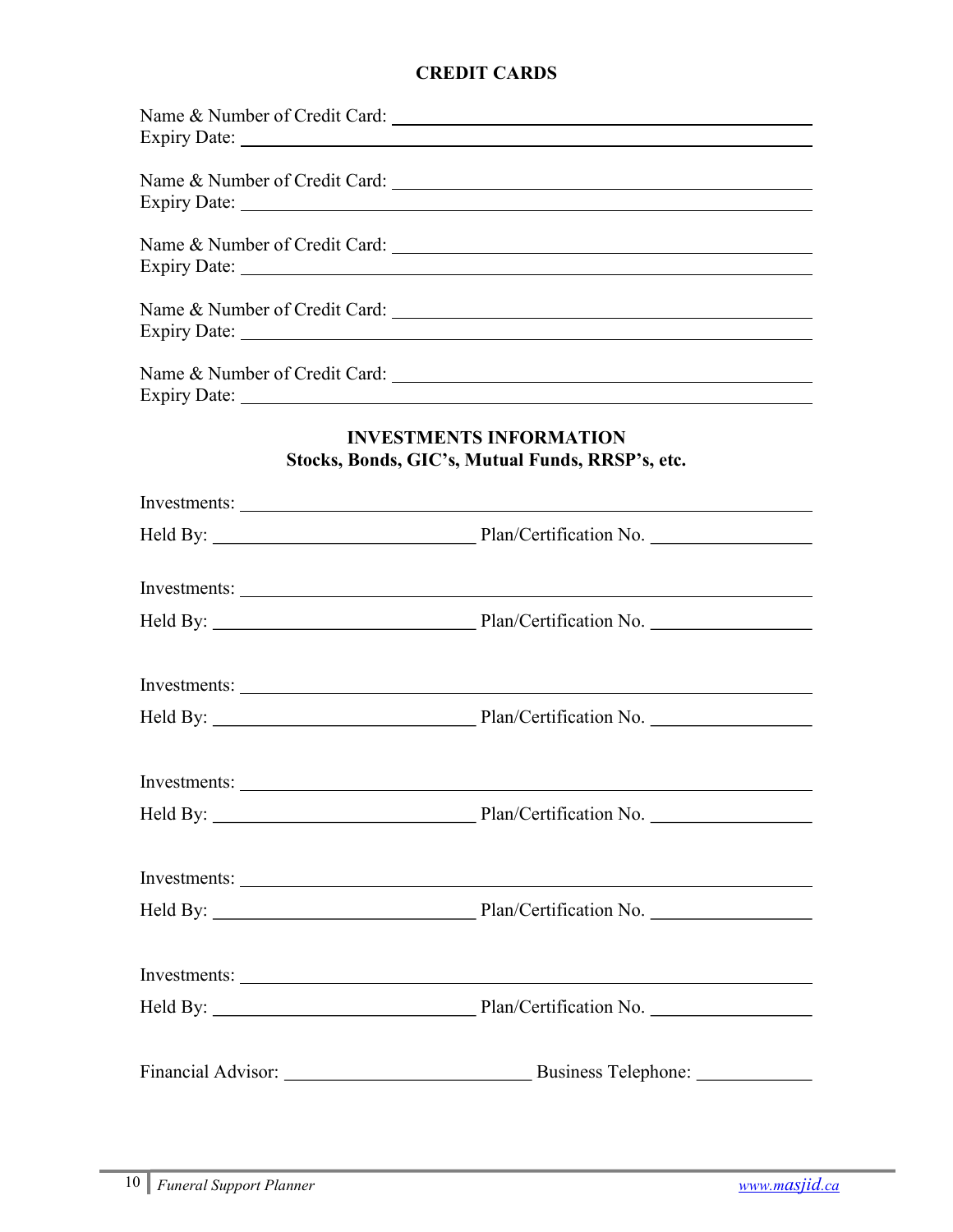# CREDIT CARDS

| Name & Number of Credit Card:                                                      |
|------------------------------------------------------------------------------------|
| Name & Number of Credit Card:                                                      |
| Name & Number of Credit Card:                                                      |
| Name & Number of Credit Card:                                                      |
|                                                                                    |
| <b>INVESTMENTS INFORMATION</b><br>Stocks, Bonds, GIC's, Mutual Funds, RRSP's, etc. |
|                                                                                    |
|                                                                                    |
|                                                                                    |
|                                                                                    |
|                                                                                    |
|                                                                                    |
| Investments:                                                                       |
|                                                                                    |
|                                                                                    |
|                                                                                    |
|                                                                                    |
|                                                                                    |
| Business Telephone: _______________                                                |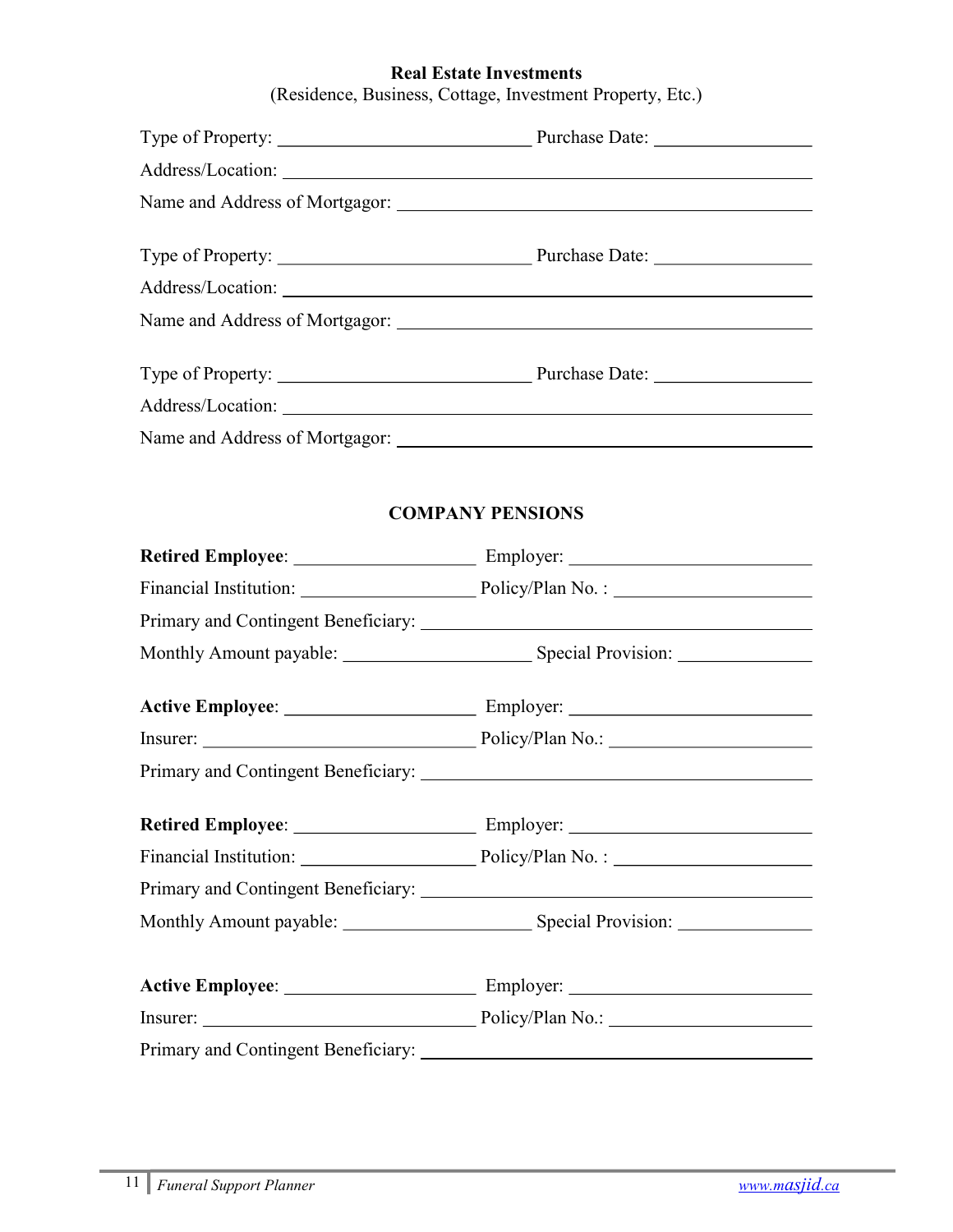## Real Estate Investments

(Residence, Business, Cottage, Investment Property, Etc.)

| Address/Location: National Contract of the Contract of the Contract of the Contract of the Contract of the Contract of the Contract of the Contract of the Contract of the Contract of the Contract of the Contract of the Con |
|--------------------------------------------------------------------------------------------------------------------------------------------------------------------------------------------------------------------------------|
|                                                                                                                                                                                                                                |
|                                                                                                                                                                                                                                |
|                                                                                                                                                                                                                                |
|                                                                                                                                                                                                                                |
|                                                                                                                                                                                                                                |
| <b>COMPANY PENSIONS</b>                                                                                                                                                                                                        |
|                                                                                                                                                                                                                                |
|                                                                                                                                                                                                                                |
|                                                                                                                                                                                                                                |
|                                                                                                                                                                                                                                |
|                                                                                                                                                                                                                                |
|                                                                                                                                                                                                                                |
|                                                                                                                                                                                                                                |
|                                                                                                                                                                                                                                |
|                                                                                                                                                                                                                                |
|                                                                                                                                                                                                                                |
|                                                                                                                                                                                                                                |
|                                                                                                                                                                                                                                |
|                                                                                                                                                                                                                                |

Primary and Contingent Beneficiary: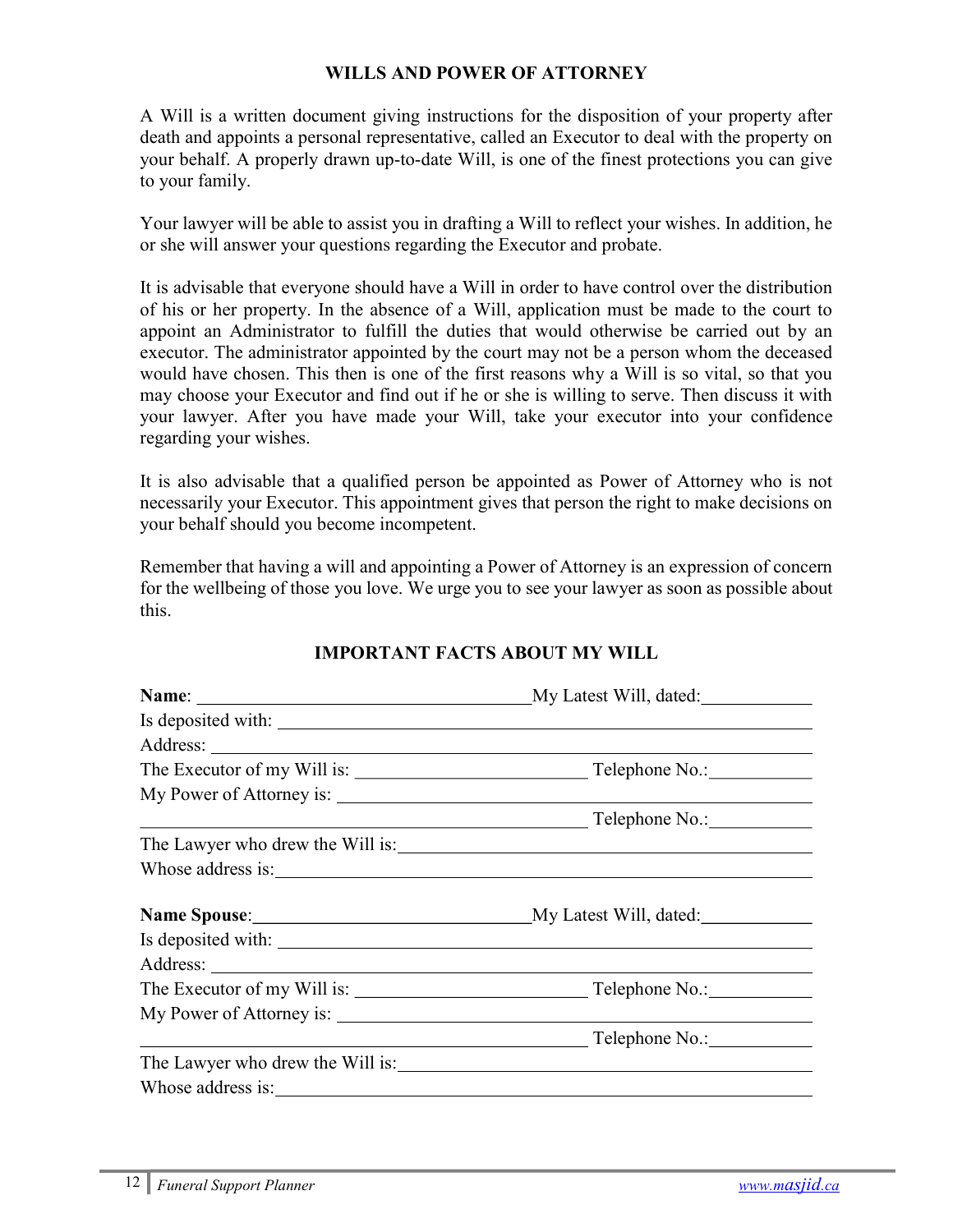## WILLS AND POWER OF ATTORNEY

A Will is a written document giving instructions for the disposition of your property after death and appoints a personal representative, called an Executor to deal with the property on your behalf. A properly drawn up-to-date Will, is one of the finest protections you can give to your family.

Your lawyer will be able to assist you in drafting a Will to reflect your wishes. In addition, he or she will answer your questions regarding the Executor and probate.

It is advisable that everyone should have a Will in order to have control over the distribution of his or her property. In the absence of a Will, application must be made to the court to appoint an Administrator to fulfill the duties that would otherwise be carried out by an executor. The administrator appointed by the court may not be a person whom the deceased would have chosen. This then is one of the first reasons why a Will is so vital, so that you may choose your Executor and find out if he or she is willing to serve. Then discuss it with your lawyer. After you have made your Will, take your executor into your confidence regarding your wishes.

It is also advisable that a qualified person be appointed as Power of Attorney who is not necessarily your Executor. This appointment gives that person the right to make decisions on your behalf should you become incompetent.

Remember that having a will and appointing a Power of Attorney is an expression of concern for the wellbeing of those you love. We urge you to see your lawyer as soon as possible about this.

|                                  | Telephone No.: The Contract of Telephone No.: |  |
|----------------------------------|-----------------------------------------------|--|
| The Lawyer who drew the Will is: |                                               |  |
|                                  |                                               |  |
|                                  |                                               |  |
|                                  |                                               |  |
|                                  |                                               |  |
|                                  |                                               |  |
|                                  |                                               |  |
|                                  | Telephone No.:                                |  |
|                                  | The Lawyer who drew the Will is:              |  |
|                                  |                                               |  |

## IMPORTANT FACTS ABOUT MY WILL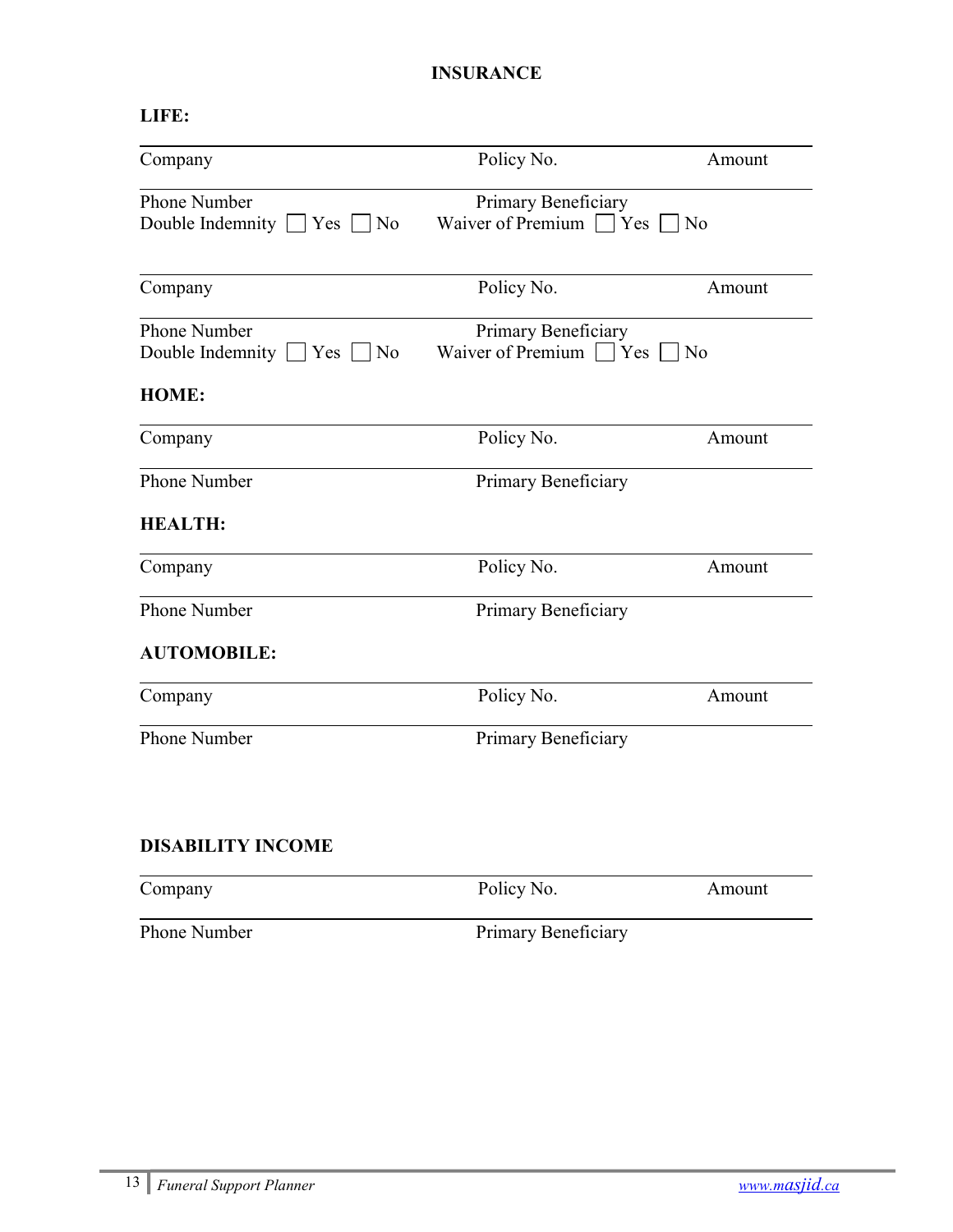# INSURANCE

# LIFE:

| Company                               | Policy No.                   | Amount         |
|---------------------------------------|------------------------------|----------------|
| Phone Number                          | Primary Beneficiary          |                |
| Double Indemnity $\Box$ Yes $\Box$ No | Waiver of Premium $\Box$ Yes | N <sub>o</sub> |
| Company                               | Policy No.                   | Amount         |
| Phone Number                          | Primary Beneficiary          |                |
| Double Indemnity Yes<br>$ $ No        | Waiver of Premium $\Box$ Yes | N <sub>o</sub> |
| <b>HOME:</b>                          |                              |                |
| Company                               | Policy No.                   | Amount         |
| <b>Phone Number</b>                   | Primary Beneficiary          |                |
| <b>HEALTH:</b>                        |                              |                |
| Company                               | Policy No.                   | Amount         |
| <b>Phone Number</b>                   | Primary Beneficiary          |                |
| <b>AUTOMOBILE:</b>                    |                              |                |
| Company                               | Policy No.                   | Amount         |
| Phone Number                          | Primary Beneficiary          |                |

# DISABILITY INCOME

| Company      | Policy No.          | Amount |
|--------------|---------------------|--------|
| Phone Number | Primary Beneficiary |        |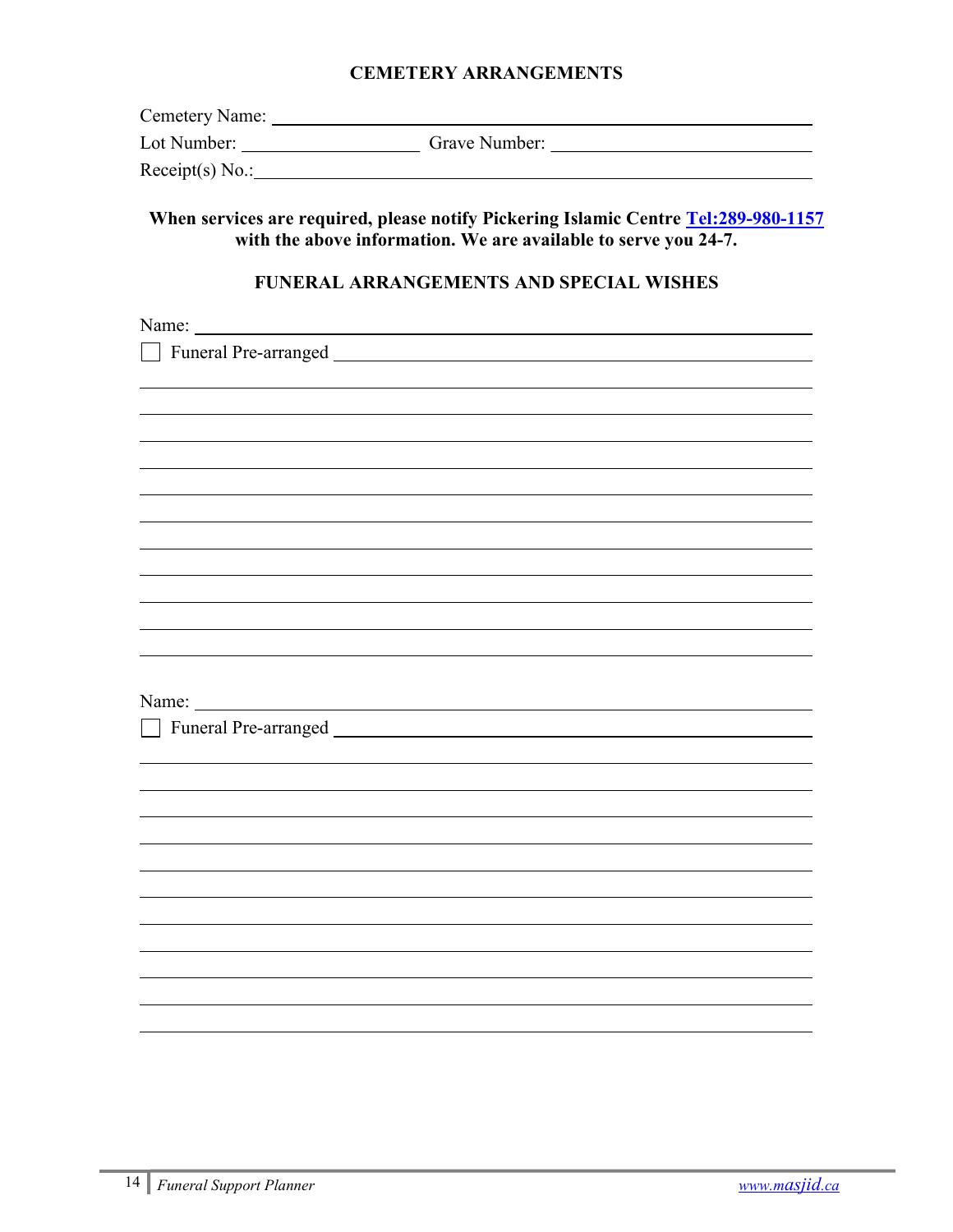#### CEMETERY ARRANGEMENTS

| Lot Number:       | Grave Number: |  |
|-------------------|---------------|--|
| Receipt(s) $No.:$ |               |  |

# When services are required, please notify Pickering Islamic Centre Tel:289-980-1157 with the above information. We are available to serve you 24-7.

#### FUNERAL ARRANGEMENTS AND SPECIAL WISHES

<u> 1980 - Johann Barn, mars ann an t-Amhain Aonaich an t-Aonaich an t-Aonaich ann an t-Aonaich ann an t-Aonaich</u>

Name:

l

Funeral Pre-arranged

| Name |  |
|------|--|
|      |  |

l

l

l

Funeral Pre-arranged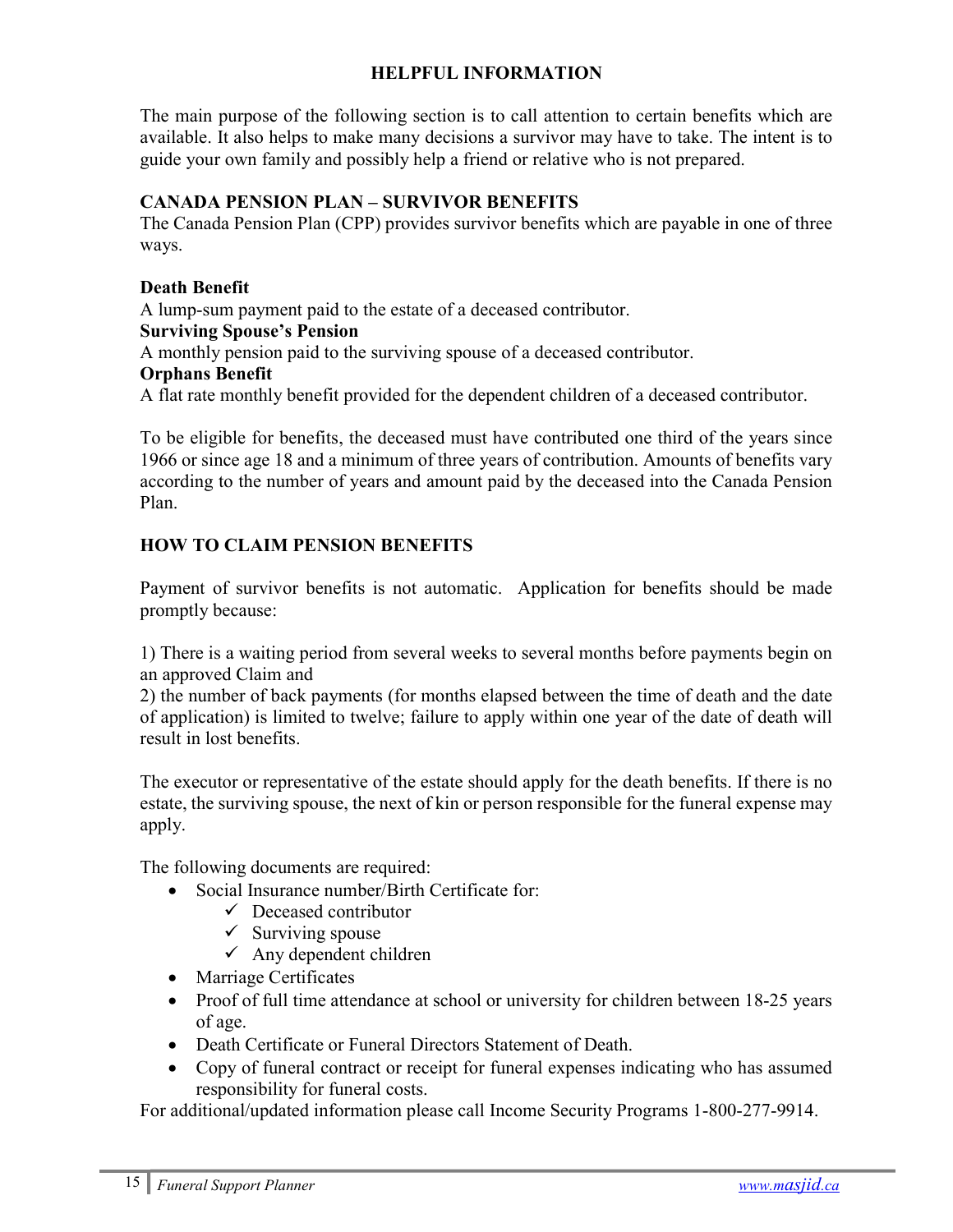## HELPFUL INFORMATION

The main purpose of the following section is to call attention to certain benefits which are available. It also helps to make many decisions a survivor may have to take. The intent is to guide your own family and possibly help a friend or relative who is not prepared.

#### CANADA PENSION PLAN – SURVIVOR BENEFITS

The Canada Pension Plan (CPP) provides survivor benefits which are payable in one of three ways.

#### Death Benefit

A lump-sum payment paid to the estate of a deceased contributor.

#### Surviving Spouse's Pension

A monthly pension paid to the surviving spouse of a deceased contributor.

#### Orphans Benefit

A flat rate monthly benefit provided for the dependent children of a deceased contributor.

To be eligible for benefits, the deceased must have contributed one third of the years since 1966 or since age 18 and a minimum of three years of contribution. Amounts of benefits vary according to the number of years and amount paid by the deceased into the Canada Pension Plan.

## HOW TO CLAIM PENSION BENEFITS

Payment of survivor benefits is not automatic. Application for benefits should be made promptly because:

1) There is a waiting period from several weeks to several months before payments begin on an approved Claim and

2) the number of back payments (for months elapsed between the time of death and the date of application) is limited to twelve; failure to apply within one year of the date of death will result in lost benefits.

The executor or representative of the estate should apply for the death benefits. If there is no estate, the surviving spouse, the next of kin or person responsible for the funeral expense may apply.

The following documents are required:

- Social Insurance number/Birth Certificate for:
	- $\checkmark$  Deceased contributor
	- $\checkmark$  Surviving spouse
	- $\checkmark$  Any dependent children
- Marriage Certificates
- Proof of full time attendance at school or university for children between 18-25 years of age.
- Death Certificate or Funeral Directors Statement of Death.
- Copy of funeral contract or receipt for funeral expenses indicating who has assumed responsibility for funeral costs.

For additional/updated information please call Income Security Programs 1-800-277-9914.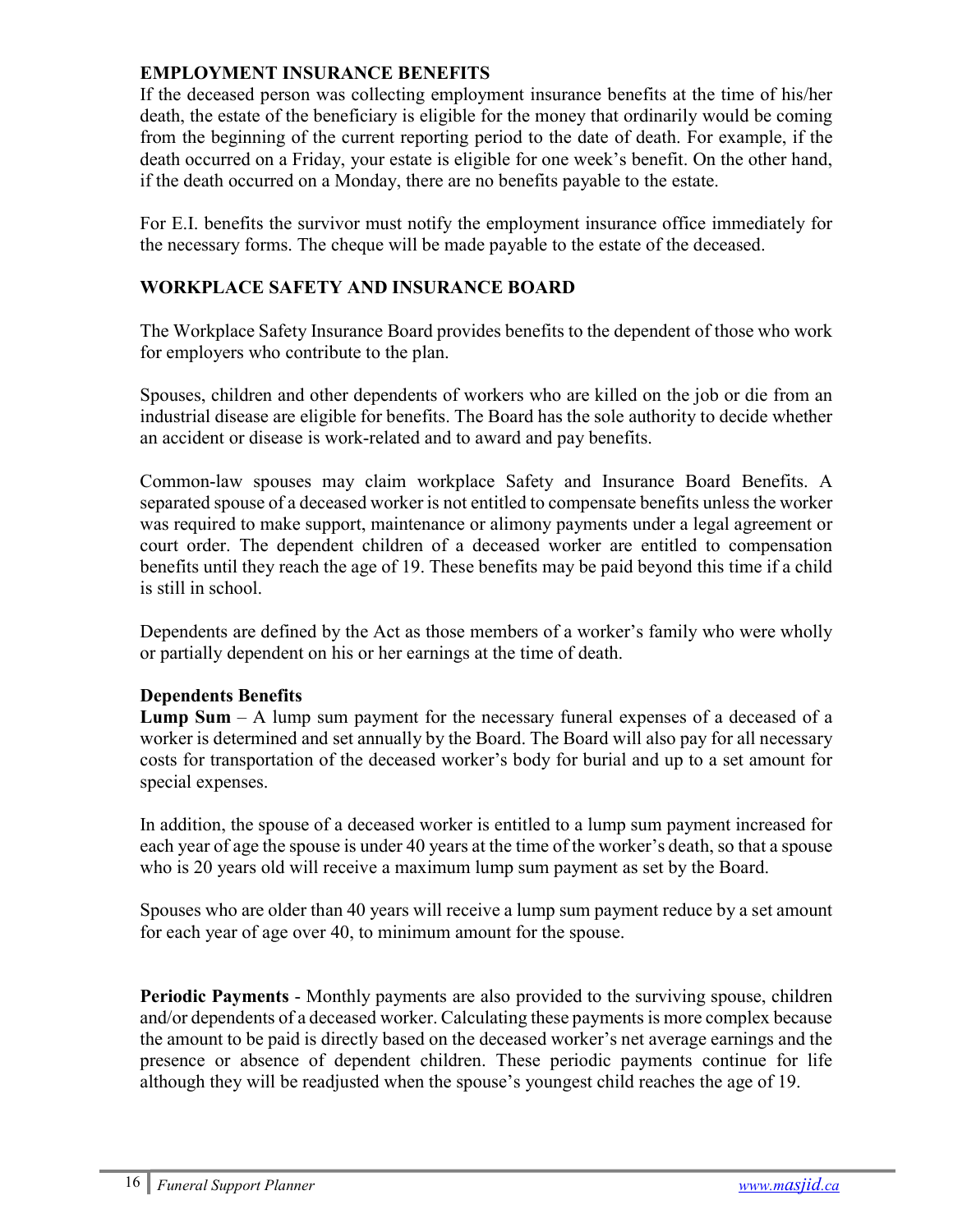## EMPLOYMENT INSURANCE BENEFITS

If the deceased person was collecting employment insurance benefits at the time of his/her death, the estate of the beneficiary is eligible for the money that ordinarily would be coming from the beginning of the current reporting period to the date of death. For example, if the death occurred on a Friday, your estate is eligible for one week's benefit. On the other hand, if the death occurred on a Monday, there are no benefits payable to the estate.

For E.I. benefits the survivor must notify the employment insurance office immediately for the necessary forms. The cheque will be made payable to the estate of the deceased.

## WORKPLACE SAFETY AND INSURANCE BOARD

The Workplace Safety Insurance Board provides benefits to the dependent of those who work for employers who contribute to the plan.

Spouses, children and other dependents of workers who are killed on the job or die from an industrial disease are eligible for benefits. The Board has the sole authority to decide whether an accident or disease is work-related and to award and pay benefits.

Common-law spouses may claim workplace Safety and Insurance Board Benefits. A separated spouse of a deceased worker is not entitled to compensate benefits unless the worker was required to make support, maintenance or alimony payments under a legal agreement or court order. The dependent children of a deceased worker are entitled to compensation benefits until they reach the age of 19. These benefits may be paid beyond this time if a child is still in school.

Dependents are defined by the Act as those members of a worker's family who were wholly or partially dependent on his or her earnings at the time of death.

## Dependents Benefits

**Lump Sum**  $-$  A lump sum payment for the necessary funeral expenses of a deceased of a worker is determined and set annually by the Board. The Board will also pay for all necessary costs for transportation of the deceased worker's body for burial and up to a set amount for special expenses.

In addition, the spouse of a deceased worker is entitled to a lump sum payment increased for each year of age the spouse is under 40 years at the time of the worker's death, so that a spouse who is 20 years old will receive a maximum lump sum payment as set by the Board.

Spouses who are older than 40 years will receive a lump sum payment reduce by a set amount for each year of age over 40, to minimum amount for the spouse.

Periodic Payments - Monthly payments are also provided to the surviving spouse, children and/or dependents of a deceased worker. Calculating these payments is more complex because the amount to be paid is directly based on the deceased worker's net average earnings and the presence or absence of dependent children. These periodic payments continue for life although they will be readjusted when the spouse's youngest child reaches the age of 19.